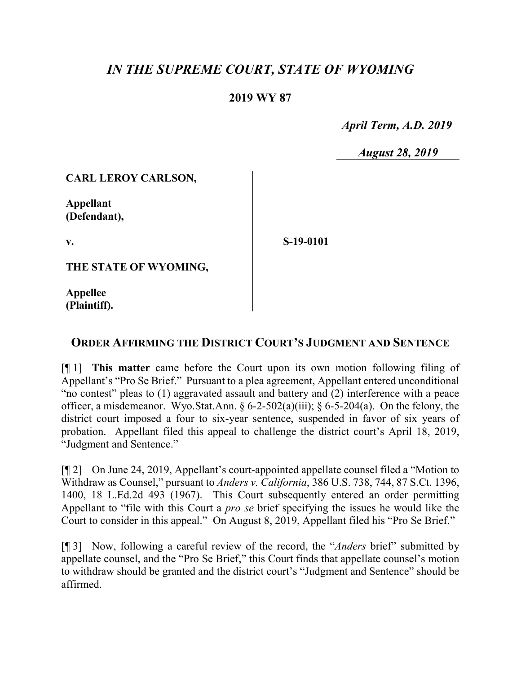# *IN THE SUPREME COURT, STATE OF WYOMING*

## **2019 WY 87**

 *April Term, A.D. 2019*

*August 28, 2019*

#### **CARL LEROY CARLSON,**

**Appellant (Defendant),**

**v.**

**S-19-0101**

**THE STATE OF WYOMING,**

**Appellee (Plaintiff).**

### **ORDER AFFIRMING THE DISTRICT COURT'S JUDGMENT AND SENTENCE**

[¶ 1] **This matter** came before the Court upon its own motion following filing of Appellant's "Pro Se Brief." Pursuant to a plea agreement, Appellant entered unconditional "no contest" pleas to (1) aggravated assault and battery and (2) interference with a peace officer, a misdemeanor. Wyo.Stat.Ann.  $\S 6-2-502(a)(iii)$ ;  $\S 6-5-204(a)$ . On the felony, the district court imposed a four to six-year sentence, suspended in favor of six years of probation. Appellant filed this appeal to challenge the district court's April 18, 2019, "Judgment and Sentence."

[¶ 2] On June 24, 2019, Appellant's court-appointed appellate counsel filed a "Motion to Withdraw as Counsel," pursuant to *Anders v. California*, 386 U.S. 738, 744, 87 S.Ct. 1396, 1400, 18 L.Ed.2d 493 (1967). This Court subsequently entered an order permitting Appellant to "file with this Court a *pro se* brief specifying the issues he would like the Court to consider in this appeal." On August 8, 2019, Appellant filed his "Pro Se Brief."

[¶ 3] Now, following a careful review of the record, the "*Anders* brief" submitted by appellate counsel, and the "Pro Se Brief," this Court finds that appellate counsel's motion to withdraw should be granted and the district court's "Judgment and Sentence" should be affirmed.